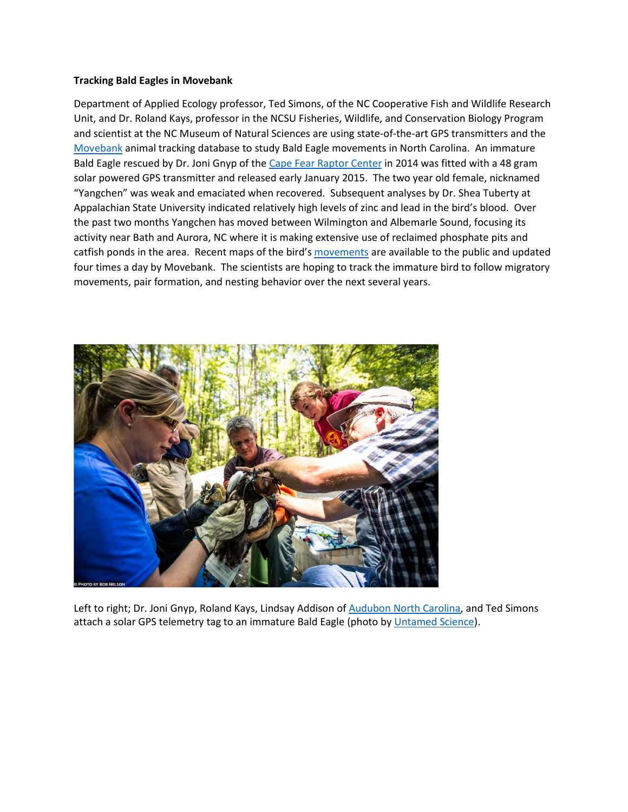## **Tracking Bald Eagles in Movebank**

Department of Applied Ecology professor, Ted Simons, of the NC Cooperative Fish and Wildlife Research Unit, and Dr. Roland Kays, professor in the NCSU Fisheries, Wildlife, and Conservation Biology Program and scientist at the NC Museum of Natural Sciences are using state-of-the-art GPS transmitters and the [Movebank](https://www.movebank.org/) animal tracking database to study Bald Eagle movements in North Carolina. An immature Bald Eagle rescued by Dr. Joni Gnyp of th[e Cape Fear Raptor Center](http://www.capefearraptorcenter.org/) in 2014 was fitted with a 48 gram solar powered GPS transmitter and released early January 2015. The two year old female, nicknamed "Yangchen" was weak and emaciated when recovered. Subsequent analyses by Dr. Shea Tuberty at Appalachian State University indicated relatively high levels of zinc and lead in the bird's blood. Over the past two months Yangchen has moved between Wilmington and Albemarle Sound, focusing its activity near Bath and Aurora, NC where it is making extensive use of reclaimed phosphate pits and catfish ponds in the area. Recent maps of the bird'[s movements](https://www.movebank.org/panel_embedded_movebank_webapp?gwt_fragment=page%253Dsearch_map_linked%252CindividualIds%253D48189779*%252Clat%253D35.4630859003334%252Clon%253D-77.19293340000002%252Cz%253D8) are available to the public and updated four times a day by Movebank. The scientists are hoping to track the immature bird to follow migratory movements, pair formation, and nesting behavior over the next several years.



Left to right; Dr. Joni Gnyp, Roland Kays, Lindsay Addison of [Audubon North Carolina,](http://nc.audubon.org/coastal-sanctuaries) and Ted Simons attach a solar GPS telemetry tag to an immature Bald Eagle (photo b[y Untamed Science\)](http://www.untamedscience.com/).